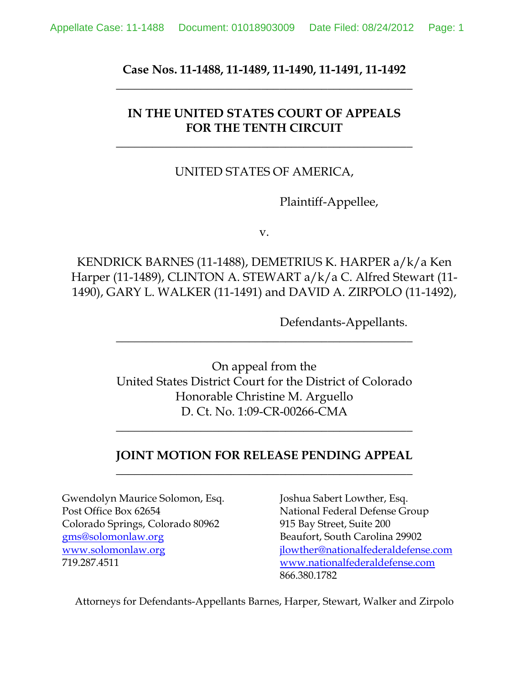**Case Nos. 11-1488, 11-1489, 11-1490, 11-1491, 11-1492 \_\_\_\_\_\_\_\_\_\_\_\_\_\_\_\_\_\_\_\_\_\_\_\_\_\_\_\_\_\_\_\_\_\_\_\_\_\_\_\_\_\_\_\_\_\_\_\_\_**

# **IN THE UNITED STATES COURT OF APPEALS FOR THE TENTH CIRCUIT**

**\_\_\_\_\_\_\_\_\_\_\_\_\_\_\_\_\_\_\_\_\_\_\_\_\_\_\_\_\_\_\_\_\_\_\_\_\_\_\_\_\_\_\_\_\_\_\_\_\_**

### UNITED STATES OF AMERICA,

Plaintiff-Appellee,

v.

KENDRICK BARNES (11-1488), DEMETRIUS K. HARPER a/k/a Ken Harper (11-1489), CLINTON A. STEWART a/k/a C. Alfred Stewart (11- 1490), GARY L. WALKER (11-1491) and DAVID A. ZIRPOLO (11-1492),

Defendants-Appellants.

On appeal from the United States District Court for the District of Colorado Honorable Christine M. Arguello D. Ct. No. 1:09-CR-00266-CMA

**\_\_\_\_\_\_\_\_\_\_\_\_\_\_\_\_\_\_\_\_\_\_\_\_\_\_\_\_\_\_\_\_\_\_\_\_\_\_\_\_\_\_\_\_\_\_\_\_\_**

## **JOINT MOTION FOR RELEASE PENDING APPEAL \_\_\_\_\_\_\_\_\_\_\_\_\_\_\_\_\_\_\_\_\_\_\_\_\_\_\_\_\_\_\_\_\_\_\_\_\_\_\_\_\_\_\_\_\_\_\_\_\_**

**\_\_\_\_\_\_\_\_\_\_\_\_\_\_\_\_\_\_\_\_\_\_\_\_\_\_\_\_\_\_\_\_\_\_\_\_\_\_\_\_\_\_\_\_\_\_\_\_\_**

Gwendolyn Maurice Solomon, Esq. Joshua Sabert Lowther, Esq. Post Office Box 62654 National Federal Defense Group Colorado Springs, Colorado 80962 915 Bay Street, Suite 200 [gms@solomonlaw.org](mailto:gms@solomonlaw.org) Beaufort, South Carolina 29902

[www.solomonlaw.org](http://www.solomonlaw.org/) [jlowther@nationalfederaldefense.com](mailto:jlowther@nationalfederaldefense.com) 719.287.4511 [www.nationalfederaldefense.com](http://www.nationalfederaldefense.com/) 866.380.1782

Attorneys for Defendants-Appellants Barnes, Harper, Stewart, Walker and Zirpolo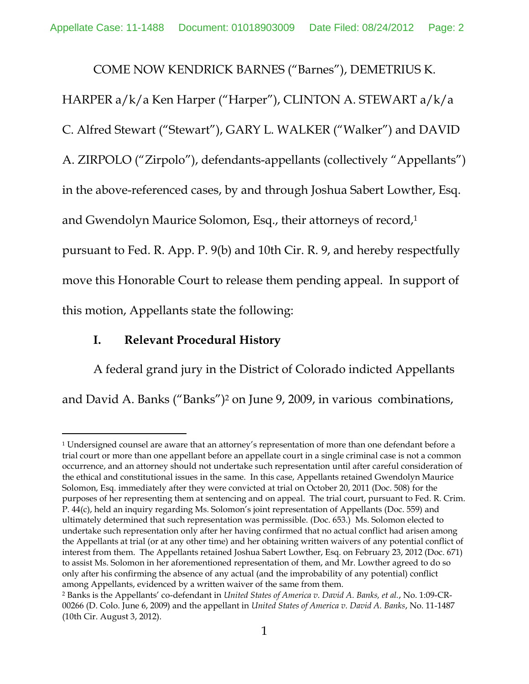COME NOW KENDRICK BARNES ("Barnes"), DEMETRIUS K.

HARPER a/k/a Ken Harper ("Harper"), CLINTON A. STEWART a/k/a

C. Alfred Stewart ("Stewart"), GARY L. WALKER ("Walker") and DAVID

A. ZIRPOLO ("Zirpolo"), defendants-appellants (collectively "Appellants")

in the above-referenced cases, by and through Joshua Sabert Lowther, Esq.

and Gwendolyn Maurice Solomon, Esq., their attorneys of record,<sup>1</sup>

pursuant to Fed. R. App. P. 9(b) and 10th Cir. R. 9, and hereby respectfully move this Honorable Court to release them pending appeal. In support of this motion, Appellants state the following:

### **I. Relevant Procedural History**

A federal grand jury in the District of Colorado indicted Appellants and David A. Banks ("Banks")<sup>2</sup> on June 9, 2009, in various combinations,

 $\ddot{\phantom{a}}$ <sup>1</sup> Undersigned counsel are aware that an attorney's representation of more than one defendant before a trial court or more than one appellant before an appellate court in a single criminal case is not a common occurrence, and an attorney should not undertake such representation until after careful consideration of the ethical and constitutional issues in the same. In this case, Appellants retained Gwendolyn Maurice Solomon, Esq. immediately after they were convicted at trial on October 20, 2011 (Doc. 508) for the purposes of her representing them at sentencing and on appeal. The trial court, pursuant to Fed. R. Crim. P. 44(c), held an inquiry regarding Ms. Solomon's joint representation of Appellants (Doc. 559) and ultimately determined that such representation was permissible. (Doc. 653.) Ms. Solomon elected to undertake such representation only after her having confirmed that no actual conflict had arisen among the Appellants at trial (or at any other time) and her obtaining written waivers of any potential conflict of interest from them. The Appellants retained Joshua Sabert Lowther, Esq. on February 23, 2012 (Doc. 671) to assist Ms. Solomon in her aforementioned representation of them, and Mr. Lowther agreed to do so only after his confirming the absence of any actual (and the improbability of any potential) conflict among Appellants, evidenced by a written waiver of the same from them.

<sup>2</sup> Banks is the Appellants' co-defendant in *United States of America v. David A. Banks, et al.*, No. 1:09-CR-00266 (D. Colo. June 6, 2009) and the appellant in *United States of America v. David A. Banks*, No. 11-1487 (10th Cir. August 3, 2012).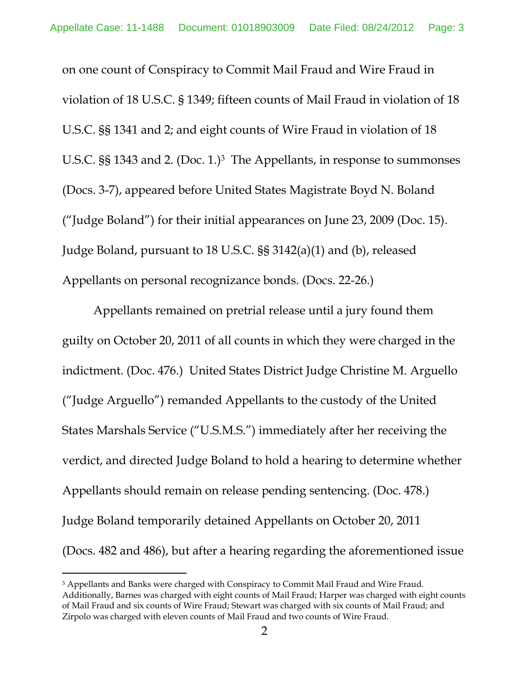on one count of Conspiracy to Commit Mail Fraud and Wire Fraud in violation of 18 U.S.C. § 1349; fifteen counts of Mail Fraud in violation of 18 U.S.C. §§ 1341 and 2; and eight counts of Wire Fraud in violation of 18 U.S.C. §§ 1343 and 2. (Doc. 1.)<sup>3</sup> The Appellants, in response to summonses (Docs. 3-7), appeared before United States Magistrate Boyd N. Boland ("Judge Boland") for their initial appearances on June 23, 2009 (Doc. 15). Judge Boland, pursuant to 18 U.S.C. §§ 3142(a)(1) and (b), released Appellants on personal recognizance bonds. (Docs. 22-26.)

Appellants remained on pretrial release until a jury found them guilty on October 20, 2011 of all counts in which they were charged in the indictment. (Doc. 476.) United States District Judge Christine M. Arguello ("Judge Arguello") remanded Appellants to the custody of the United States Marshals Service ("U.S.M.S.") immediately after her receiving the verdict, and directed Judge Boland to hold a hearing to determine whether Appellants should remain on release pending sentencing. (Doc. 478.) Judge Boland temporarily detained Appellants on October 20, 2011 (Docs. 482 and 486), but after a hearing regarding the aforementioned issue

 $\overline{a}$ 

<sup>&</sup>lt;sup>3</sup> Appellants and Banks were charged with Conspiracy to Commit Mail Fraud and Wire Fraud. Additionally, Barnes was charged with eight counts of Mail Fraud; Harper was charged with eight counts of Mail Fraud and six counts of Wire Fraud; Stewart was charged with six counts of Mail Fraud; and Zirpolo was charged with eleven counts of Mail Fraud and two counts of Wire Fraud.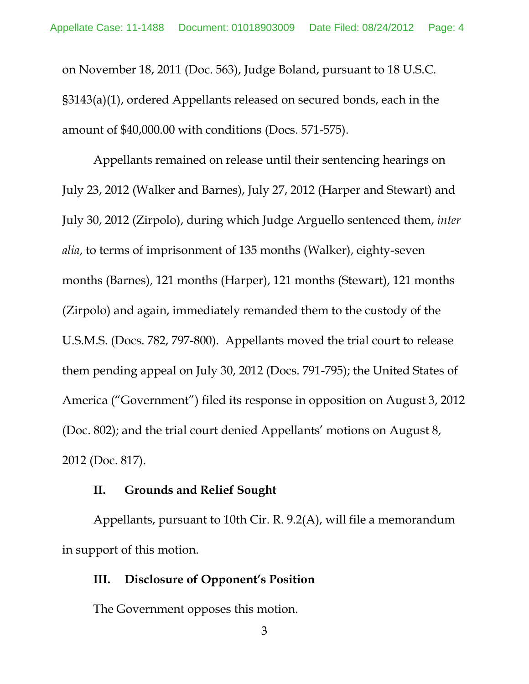on November 18, 2011 (Doc. 563), Judge Boland, pursuant to 18 U.S.C. §3143(a)(1), ordered Appellants released on secured bonds, each in the amount of \$40,000.00 with conditions (Docs. 571-575).

Appellants remained on release until their sentencing hearings on July 23, 2012 (Walker and Barnes), July 27, 2012 (Harper and Stewart) and July 30, 2012 (Zirpolo), during which Judge Arguello sentenced them, *inter alia*, to terms of imprisonment of 135 months (Walker), eighty-seven months (Barnes), 121 months (Harper), 121 months (Stewart), 121 months (Zirpolo) and again, immediately remanded them to the custody of the U.S.M.S. (Docs. 782, 797-800). Appellants moved the trial court to release them pending appeal on July 30, 2012 (Docs. 791-795); the United States of America ("Government") filed its response in opposition on August 3, 2012 (Doc. 802); and the trial court denied Appellants' motions on August 8, 2012 (Doc. 817).

#### **II. Grounds and Relief Sought**

Appellants, pursuant to 10th Cir. R. 9.2(A), will file a memorandum in support of this motion.

#### **III. Disclosure of Opponent's Position**

The Government opposes this motion.

3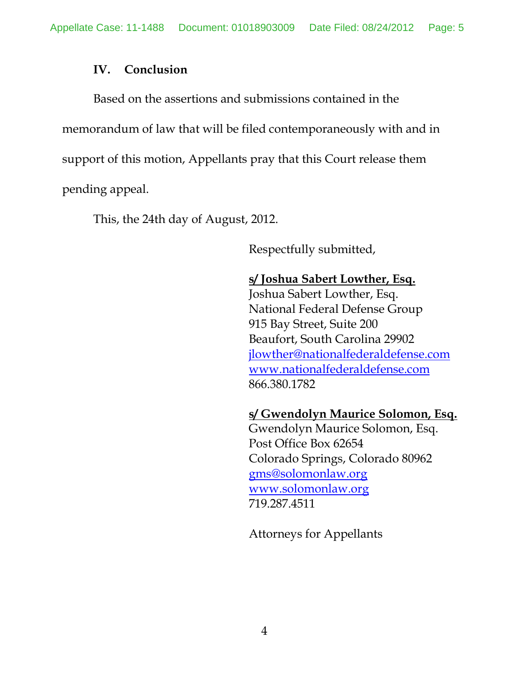## **IV. Conclusion**

Based on the assertions and submissions contained in the memorandum of law that will be filed contemporaneously with and in support of this motion, Appellants pray that this Court release them pending appeal.

This, the 24th day of August, 2012.

Respectfully submitted,

# **s/ Joshua Sabert Lowther, Esq.**

Joshua Sabert Lowther, Esq. National Federal Defense Group 915 Bay Street, Suite 200 Beaufort, South Carolina 29902 [jlowther@nationalfederaldefense.com](mailto:jlowther@nationalfederaldefense.com) [www.nationalfederaldefense.com](http://www.nationalfederaldefense.com/) 866.380.1782

## **s/ Gwendolyn Maurice Solomon, Esq.**

Gwendolyn Maurice Solomon, Esq. Post Office Box 62654 Colorado Springs, Colorado 80962 [gms@solomonlaw.org](mailto:gms@solomonlaw.org) [www.solomonlaw.org](http://www.solomonlaw.org/) 719.287.4511

Attorneys for Appellants